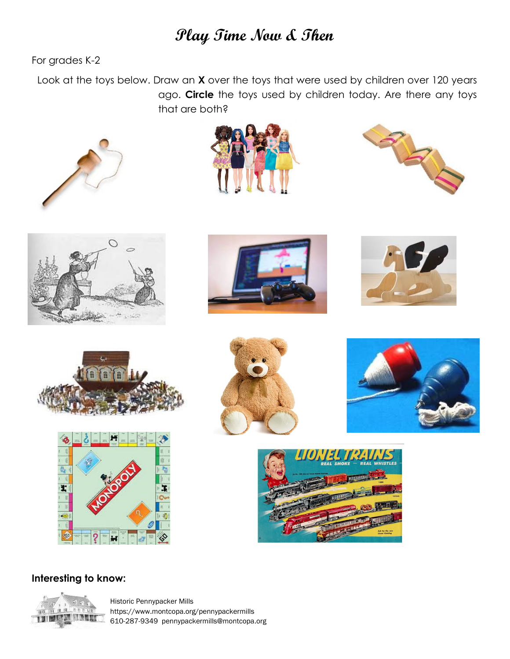## **Play Time Now & Then**

For grades K-2

 Look at the toys below. Draw an **X** over the toys that were used by children over 120 years ago. **Circle** the toys used by children today. Are there any toys that are both?























### **Interesting to know:**



Historic Pennypacker Mills https://www.montcopa.org/pennypackermills 610-287-9349 pennypackermills@montcopa.org